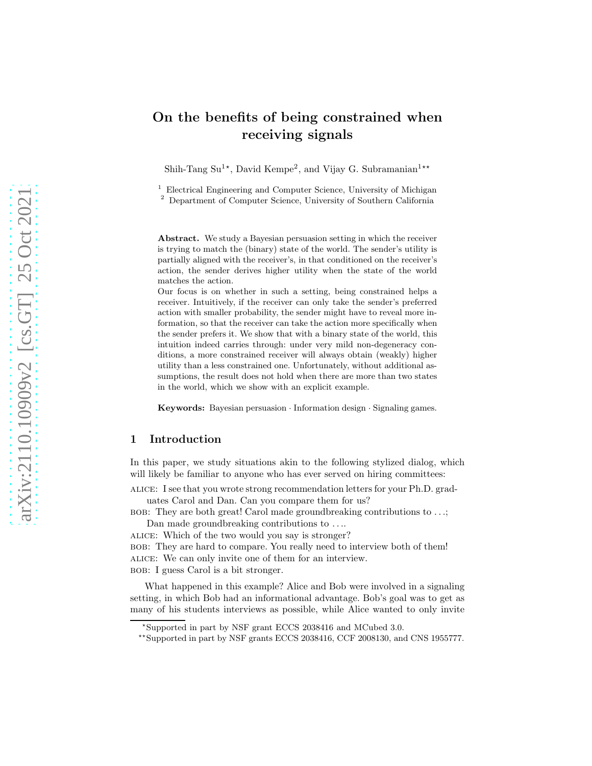# On the benefits of being constrained when receiving signals

Shih-Tang Su<sup>1\*</sup>, David Kempe<sup>2</sup>, and Vijay G. Subramanian<sup>1\*\*</sup>

 $1$  Electrical Engineering and Computer Science, University of Michigan <sup>2</sup> Department of Computer Science, University of Southern California

Abstract. We study a Bayesian persuasion setting in which the receiver is trying to match the (binary) state of the world. The sender's utility is partially aligned with the receiver's, in that conditioned on the receiver's action, the sender derives higher utility when the state of the world matches the action.

Our focus is on whether in such a setting, being constrained helps a receiver. Intuitively, if the receiver can only take the sender's preferred action with smaller probability, the sender might have to reveal more information, so that the receiver can take the action more specifically when the sender prefers it. We show that with a binary state of the world, this intuition indeed carries through: under very mild non-degeneracy conditions, a more constrained receiver will always obtain (weakly) higher utility than a less constrained one. Unfortunately, without additional assumptions, the result does not hold when there are more than two states in the world, which we show with an explicit example.

**Keywords:** Bayesian persuasion  $\cdot$  Information design  $\cdot$  Signaling games.

# <span id="page-0-0"></span>1 Introduction

In this paper, we study situations akin to the following stylized dialog, which will likely be familiar to anyone who has ever served on hiring committees:

alice: I see that you wrote strong recommendation letters for your Ph.D. graduates Carol and Dan. Can you compare them for us?

bob: They are both great! Carol made groundbreaking contributions to . . .; Dan made groundbreaking contributions to ....

ALICE: Which of the two would you say is stronger?

bob: They are hard to compare. You really need to interview both of them! alice: We can only invite one of them for an interview. bob: I guess Carol is a bit stronger.

What happened in this example? Alice and Bob were involved in a signaling setting, in which Bob had an informational advantage. Bob's goal was to get as many of his students interviews as possible, while Alice wanted to only invite

<sup>⋆</sup> Supported in part by NSF grant ECCS 2038416 and MCubed 3.0.

<sup>⋆⋆</sup>Supported in part by NSF grants ECCS 2038416, CCF 2008130, and CNS 1955777.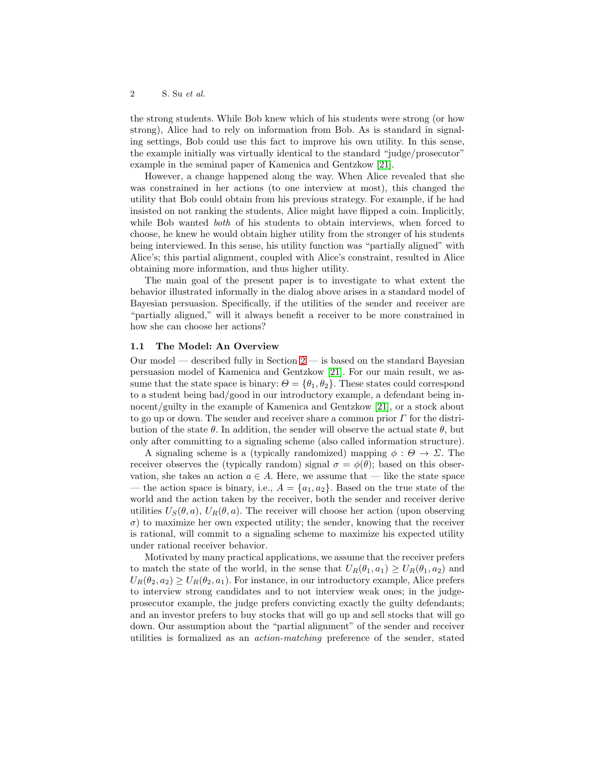the strong students. While Bob knew which of his students were strong (or how strong), Alice had to rely on information from Bob. As is standard in signaling settings, Bob could use this fact to improve his own utility. In this sense, the example initially was virtually identical to the standard "judge/prosecutor" example in the seminal paper of Kamenica and Gentzkow [\[21\]](#page-17-0).

However, a change happened along the way. When Alice revealed that she was constrained in her actions (to one interview at most), this changed the utility that Bob could obtain from his previous strategy. For example, if he had insisted on not ranking the students, Alice might have flipped a coin. Implicitly, while Bob wanted *both* of his students to obtain interviews, when forced to choose, he knew he would obtain higher utility from the stronger of his students being interviewed. In this sense, his utility function was "partially aligned" with Alice's; this partial alignment, coupled with Alice's constraint, resulted in Alice obtaining more information, and thus higher utility.

The main goal of the present paper is to investigate to what extent the behavior illustrated informally in the dialog above arises in a standard model of Bayesian persuasion. Specifically, if the utilities of the sender and receiver are "partially aligned," will it always benefit a receiver to be more constrained in how she can choose her actions?

#### <span id="page-1-0"></span>1.1 The Model: An Overview

Our model — described fully in Section  $2 - i$ s based on the standard Bayesian persuasion model of Kamenica and Gentzkow [\[21\]](#page-17-0). For our main result, we assume that the state space is binary:  $\Theta = {\theta_1, \theta_2}$ . These states could correspond to a student being bad/good in our introductory example, a defendant being innocent/guilty in the example of Kamenica and Gentzkow [\[21\]](#page-17-0), or a stock about to go up or down. The sender and receiver share a common prior Γ for the distribution of the state  $\theta$ . In addition, the sender will observe the actual state  $\theta$ , but only after committing to a signaling scheme (also called information structure).

A signaling scheme is a (typically randomized) mapping  $\phi : \Theta \to \Sigma$ . The receiver observes the (typically random) signal  $\sigma = \phi(\theta)$ ; based on this observation, she takes an action  $a \in A$ . Here, we assume that — like the state space — the action space is binary, i.e.,  $A = \{a_1, a_2\}$ . Based on the true state of the world and the action taken by the receiver, both the sender and receiver derive utilities  $U_S(\theta, a)$ ,  $U_R(\theta, a)$ . The receiver will choose her action (upon observing  $\sigma$ ) to maximize her own expected utility; the sender, knowing that the receiver is rational, will commit to a signaling scheme to maximize his expected utility under rational receiver behavior.

Motivated by many practical applications, we assume that the receiver prefers to match the state of the world, in the sense that  $U_R(\theta_1, a_1) \geq U_R(\theta_1, a_2)$  and  $U_R(\theta_2, a_2) \geq U_R(\theta_2, a_1)$ . For instance, in our introductory example, Alice prefers to interview strong candidates and to not interview weak ones; in the judgeprosecutor example, the judge prefers convicting exactly the guilty defendants; and an investor prefers to buy stocks that will go up and sell stocks that will go down. Our assumption about the "partial alignment" of the sender and receiver utilities is formalized as an action-matching preference of the sender, stated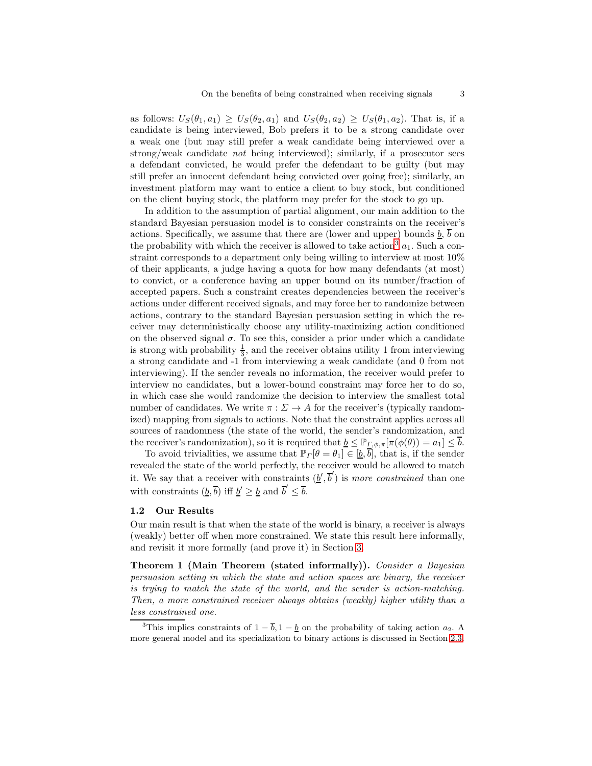as follows:  $U_S(\theta_1, a_1) \geq U_S(\theta_2, a_1)$  and  $U_S(\theta_2, a_2) \geq U_S(\theta_1, a_2)$ . That is, if a candidate is being interviewed, Bob prefers it to be a strong candidate over a weak one (but may still prefer a weak candidate being interviewed over a strong/weak candidate *not* being interviewed); similarly, if a prosecutor sees a defendant convicted, he would prefer the defendant to be guilty (but may still prefer an innocent defendant being convicted over going free); similarly, an investment platform may want to entice a client to buy stock, but conditioned on the client buying stock, the platform may prefer for the stock to go up.

In addition to the assumption of partial alignment, our main addition to the standard Bayesian persuasion model is to consider constraints on the receiver's actions. Specifically, we assume that there are (lower and upper) bounds  $\underline{b}, \overline{b}$  on the probability with which the receiver is allowed to take action<sup>[3](#page-2-0)</sup>  $a_1$ . Such a constraint corresponds to a department only being willing to interview at most 10% of their applicants, a judge having a quota for how many defendants (at most) to convict, or a conference having an upper bound on its number/fraction of accepted papers. Such a constraint creates dependencies between the receiver's actions under different received signals, and may force her to randomize between actions, contrary to the standard Bayesian persuasion setting in which the receiver may deterministically choose any utility-maximizing action conditioned on the observed signal  $\sigma$ . To see this, consider a prior under which a candidate is strong with probability  $\frac{1}{3}$ , and the receiver obtains utility 1 from interviewing a strong candidate and -1 from interviewing a weak candidate (and 0 from not interviewing). If the sender reveals no information, the receiver would prefer to interview no candidates, but a lower-bound constraint may force her to do so, in which case she would randomize the decision to interview the smallest total number of candidates. We write  $\pi : \Sigma \to A$  for the receiver's (typically randomized) mapping from signals to actions. Note that the constraint applies across all sources of randomness (the state of the world, the sender's randomization, and the receiver's randomization), so it is required that  $\underline{b} \leq \mathbb{P}_{\Gamma,\phi,\pi}[\pi(\phi(\theta)) = a_1] \leq \overline{b}$ .

To avoid trivialities, we assume that  $\mathbb{P}_{\Gamma}[\theta = \theta_1] \in [\underline{b}, \overline{b}]$ , that is, if the sender revealed the state of the world perfectly, the receiver would be allowed to match it. We say that a receiver with constraints  $(\underline{b}', \overline{b}')$  is more constrained than one with constraints  $(\underline{b}, \overline{b})$  iff  $\underline{b}' \ge \underline{b}$  and  $\overline{b}' \le \overline{b}$ .

# 1.2 Our Results

Our main result is that when the state of the world is binary, a receiver is always (weakly) better off when more constrained. We state this result here informally, and revisit it more formally (and prove it) in Section [3.](#page-9-0)

<span id="page-2-1"></span>Theorem 1 (Main Theorem (stated informally)). Consider a Bayesian persuasion setting in which the state and action spaces are binary, the receiver is trying to match the state of the world, and the sender is action-matching. Then, a more constrained receiver always obtains (weakly) higher utility than a less constrained one.

<span id="page-2-0"></span><sup>&</sup>lt;sup>3</sup>This implies constraints of  $1 - \overline{b}$ ,  $1 - \underline{b}$  on the probability of taking action  $a_2$ . A more general model and its specialization to binary actions is discussed in Section [2.3.](#page-6-0)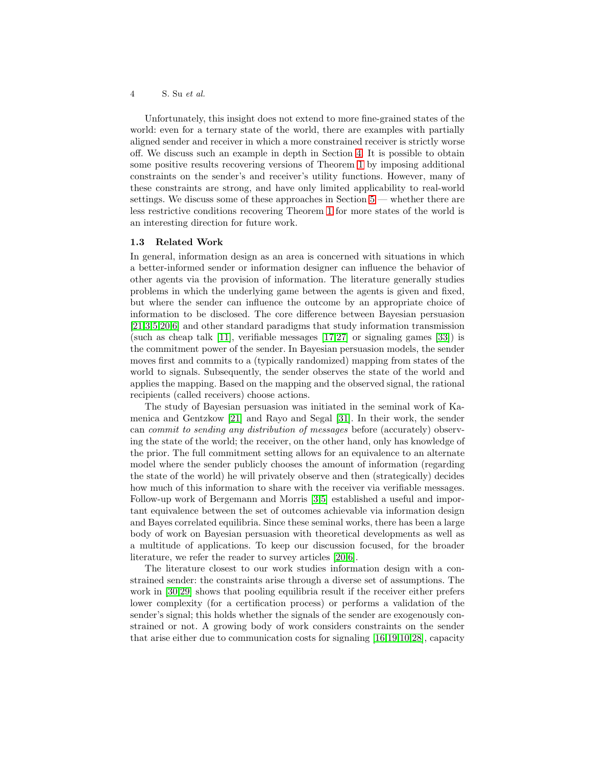Unfortunately, this insight does not extend to more fine-grained states of the world: even for a ternary state of the world, there are examples with partially aligned sender and receiver in which a more constrained receiver is strictly worse off. We discuss such an example in depth in Section [4.](#page-12-0) It is possible to obtain some positive results recovering versions of Theorem [1](#page-2-1) by imposing additional constraints on the sender's and receiver's utility functions. However, many of these constraints are strong, and have only limited applicability to real-world settings. We discuss some of these approaches in Section [5](#page-14-0) — whether there are less restrictive conditions recovering Theorem [1](#page-2-1) for more states of the world is an interesting direction for future work.

# 1.3 Related Work

In general, information design as an area is concerned with situations in which a better-informed sender or information designer can influence the behavior of other agents via the provision of information. The literature generally studies problems in which the underlying game between the agents is given and fixed, but where the sender can influence the outcome by an appropriate choice of information to be disclosed. The core difference between Bayesian persuasion [\[21](#page-17-0)[,3](#page-16-0)[,5,](#page-16-1)[20](#page-17-1)[,6\]](#page-16-2) and other standard paradigms that study information transmission (such as cheap talk [\[11\]](#page-17-2), verifiable messages [\[17](#page-17-3)[,27\]](#page-17-4) or signaling games [\[33\]](#page-17-5)) is the commitment power of the sender. In Bayesian persuasion models, the sender moves first and commits to a (typically randomized) mapping from states of the world to signals. Subsequently, the sender observes the state of the world and applies the mapping. Based on the mapping and the observed signal, the rational recipients (called receivers) choose actions.

The study of Bayesian persuasion was initiated in the seminal work of Kamenica and Gentzkow [\[21\]](#page-17-0) and Rayo and Segal [\[31\]](#page-17-6). In their work, the sender can commit to sending any distribution of messages before (accurately) observing the state of the world; the receiver, on the other hand, only has knowledge of the prior. The full commitment setting allows for an equivalence to an alternate model where the sender publicly chooses the amount of information (regarding the state of the world) he will privately observe and then (strategically) decides how much of this information to share with the receiver via verifiable messages. Follow-up work of Bergemann and Morris [\[3](#page-16-0)[,5\]](#page-16-1) established a useful and important equivalence between the set of outcomes achievable via information design and Bayes correlated equilibria. Since these seminal works, there has been a large body of work on Bayesian persuasion with theoretical developments as well as a multitude of applications. To keep our discussion focused, for the broader literature, we refer the reader to survey articles [\[20](#page-17-1)[,6\]](#page-16-2).

The literature closest to our work studies information design with a constrained sender: the constraints arise through a diverse set of assumptions. The work in [\[30,](#page-17-7)[29\]](#page-17-8) shows that pooling equilibria result if the receiver either prefers lower complexity (for a certification process) or performs a validation of the sender's signal; this holds whether the signals of the sender are exogenously constrained or not. A growing body of work considers constraints on the sender that arise either due to communication costs for signaling [\[16,](#page-17-9)[19,](#page-17-10)[10](#page-17-11)[,28\]](#page-17-12), capacity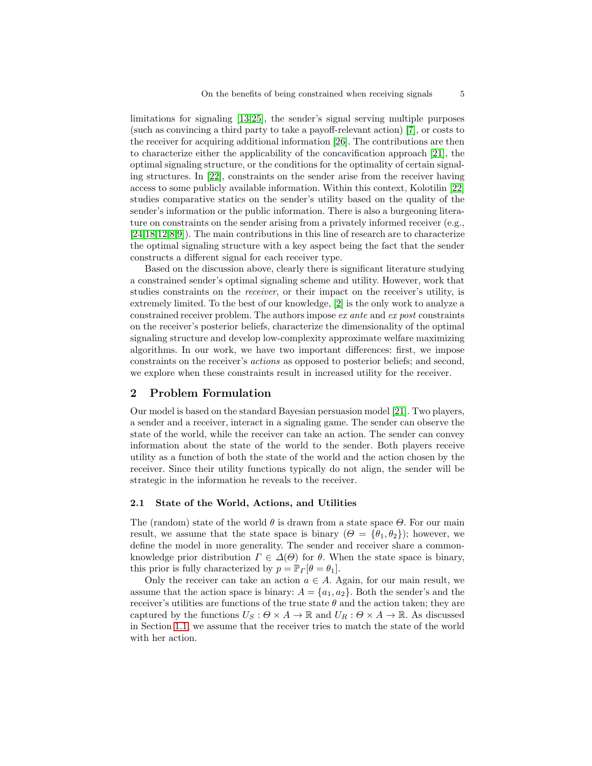limitations for signaling [\[13](#page-17-13)[,25\]](#page-17-14), the sender's signal serving multiple purposes (such as convincing a third party to take a payoff-relevant action) [\[7\]](#page-16-3), or costs to the receiver for acquiring additional information [\[26\]](#page-17-15). The contributions are then to characterize either the applicability of the concavification approach [\[21\]](#page-17-0), the optimal signaling structure, or the conditions for the optimality of certain signaling structures. In [\[22\]](#page-17-16), constraints on the sender arise from the receiver having access to some publicly available information. Within this context, Kolotilin [\[22\]](#page-17-16) studies comparative statics on the sender's utility based on the quality of the sender's information or the public information. There is also a burgeoning literature on constraints on the sender arising from a privately informed receiver (e.g., [\[24](#page-17-17)[,18](#page-17-18)[,12,](#page-17-19)[8](#page-16-4)[,9\]](#page-17-20)). The main contributions in this line of research are to characterize the optimal signaling structure with a key aspect being the fact that the sender constructs a different signal for each receiver type.

Based on the discussion above, clearly there is significant literature studying a constrained sender's optimal signaling scheme and utility. However, work that studies constraints on the receiver, or their impact on the receiver's utility, is extremely limited. To the best of our knowledge, [\[2\]](#page-16-5) is the only work to analyze a constrained receiver problem. The authors impose ex ante and ex post constraints on the receiver's posterior beliefs, characterize the dimensionality of the optimal signaling structure and develop low-complexity approximate welfare maximizing algorithms. In our work, we have two important differences: first, we impose constraints on the receiver's actions as opposed to posterior beliefs; and second, we explore when these constraints result in increased utility for the receiver.

# <span id="page-4-0"></span>2 Problem Formulation

Our model is based on the standard Bayesian persuasion model [\[21\]](#page-17-0). Two players, a sender and a receiver, interact in a signaling game. The sender can observe the state of the world, while the receiver can take an action. The sender can convey information about the state of the world to the sender. Both players receive utility as a function of both the state of the world and the action chosen by the receiver. Since their utility functions typically do not align, the sender will be strategic in the information he reveals to the receiver.

# 2.1 State of the World, Actions, and Utilities

The (random) state of the world  $\theta$  is drawn from a state space  $\Theta$ . For our main result, we assume that the state space is binary  $(\Theta = {\theta_1, \theta_2})$ ; however, we define the model in more generality. The sender and receiver share a commonknowledge prior distribution  $\Gamma \in \Delta(\Theta)$  for  $\theta$ . When the state space is binary, this prior is fully characterized by  $p = \mathbb{P}_{\Gamma}[\theta = \theta_1].$ 

Only the receiver can take an action  $a \in A$ . Again, for our main result, we assume that the action space is binary:  $A = \{a_1, a_2\}$ . Both the sender's and the receiver's utilities are functions of the true state  $\theta$  and the action taken; they are captured by the functions  $U_S : \Theta \times A \to \mathbb{R}$  and  $U_R : \Theta \times A \to \mathbb{R}$ . As discussed in Section [1.1,](#page-1-0) we assume that the receiver tries to match the state of the world with her action.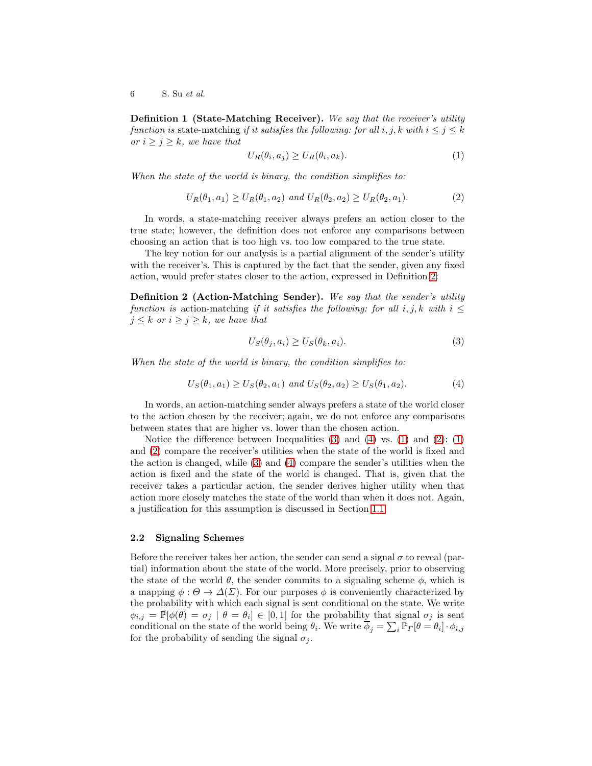**Definition 1 (State-Matching Receiver).** We say that the receiver's utility function is state-matching if it satisfies the following: for all i, j, k with  $i \leq j \leq k$ or  $i \geq j \geq k$ , we have that

<span id="page-5-4"></span><span id="page-5-3"></span>
$$
U_R(\theta_i, a_j) \ge U_R(\theta_i, a_k). \tag{1}
$$

When the state of the world is binary, the condition simplifies to:

$$
U_R(\theta_1, a_1) \ge U_R(\theta_1, a_2) \text{ and } U_R(\theta_2, a_2) \ge U_R(\theta_2, a_1). \tag{2}
$$

In words, a state-matching receiver always prefers an action closer to the true state; however, the definition does not enforce any comparisons between choosing an action that is too high vs. too low compared to the true state.

The key notion for our analysis is a partial alignment of the sender's utility with the receiver's. This is captured by the fact that the sender, given any fixed action, would prefer states closer to the action, expressed in Definition [2:](#page-5-0)

<span id="page-5-0"></span>Definition 2 (Action-Matching Sender). We say that the sender's utility function is action-matching if it satisfies the following: for all i, j, k with  $i \leq$  $j \leq k$  or  $i \geq j \geq k$ , we have that

<span id="page-5-2"></span><span id="page-5-1"></span>
$$
U_S(\theta_j, a_i) \ge U_S(\theta_k, a_i). \tag{3}
$$

When the state of the world is binary, the condition simplifies to:

$$
U_S(\theta_1, a_1) \ge U_S(\theta_2, a_1) \text{ and } U_S(\theta_2, a_2) \ge U_S(\theta_1, a_2). \tag{4}
$$

In words, an action-matching sender always prefers a state of the world closer to the action chosen by the receiver; again, we do not enforce any comparisons between states that are higher vs. lower than the chosen action.

Notice the difference between Inequalities  $(3)$  and  $(4)$  vs.  $(1)$  and  $(2)$ :  $(1)$ and [\(2\)](#page-5-4) compare the receiver's utilities when the state of the world is fixed and the action is changed, while [\(3\)](#page-5-1) and [\(4\)](#page-5-2) compare the sender's utilities when the action is fixed and the state of the world is changed. That is, given that the receiver takes a particular action, the sender derives higher utility when that action more closely matches the state of the world than when it does not. Again, a justification for this assumption is discussed in Section [1.1.](#page-1-0)

#### 2.2 Signaling Schemes

Before the receiver takes her action, the sender can send a signal  $\sigma$  to reveal (partial) information about the state of the world. More precisely, prior to observing the state of the world  $\theta$ , the sender commits to a signaling scheme  $\phi$ , which is a mapping  $\phi : \Theta \to \Delta(\Sigma)$ . For our purposes  $\phi$  is conveniently characterized by the probability with which each signal is sent conditional on the state. We write  $\phi_{i,j} = \mathbb{P}[\phi(\theta) = \sigma_j \mid \theta = \theta_i] \in [0,1]$  for the probability that signal  $\sigma_j$  is sent conditional on the state of the world being  $\theta_i$ . We write  $\phi_j = \sum_i \mathbb{P}_{\Gamma}[\theta = \theta_i] \cdot \phi_{i,j}$ for the probability of sending the signal  $\sigma_j$ .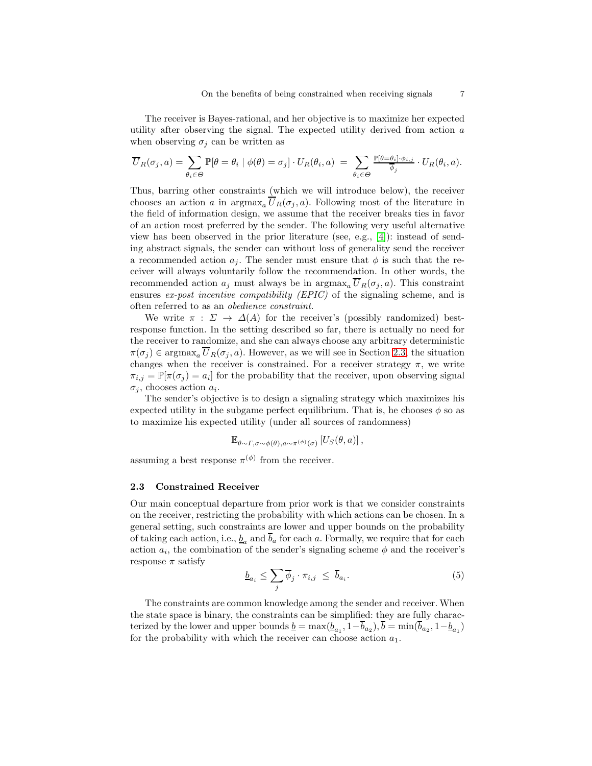The receiver is Bayes-rational, and her objective is to maximize her expected utility after observing the signal. The expected utility derived from action  $a$ when observing  $\sigma_i$  can be written as

$$
\overline{U}_R(\sigma_j,a) = \sum_{\theta_i \in \Theta} \mathbb{P}[\theta = \theta_i \mid \phi(\theta) = \sigma_j] \cdot U_R(\theta_i,a) = \sum_{\theta_i \in \Theta} \frac{\mathbb{P}[\theta = \theta_i] \cdot \phi_{i,j}}{\overline{\phi}_j} \cdot U_R(\theta_i,a).
$$

Thus, barring other constraints (which we will introduce below), the receiver chooses an action a in  $\argmax_a \overline{U}_R(\sigma_i, a)$ . Following most of the literature in the field of information design, we assume that the receiver breaks ties in favor of an action most preferred by the sender. The following very useful alternative view has been observed in the prior literature (see, e.g., [\[4\]](#page-16-6)): instead of sending abstract signals, the sender can without loss of generality send the receiver a recommended action  $a_j$ . The sender must ensure that  $\phi$  is such that the receiver will always voluntarily follow the recommendation. In other words, the recommended action  $a_j$  must always be in  $\argmax_a U_R(\sigma_i, a)$ . This constraint ensures ex-post incentive compatibility (EPIC) of the signaling scheme, and is often referred to as an obedience constraint.

We write  $\pi : \Sigma \to \Delta(A)$  for the receiver's (possibly randomized) bestresponse function. In the setting described so far, there is actually no need for the receiver to randomize, and she can always choose any arbitrary deterministic  $\pi(\sigma_i) \in \text{argmax}_{\sigma} \overline{U}_R(\sigma_i, a)$ . However, as we will see in Section [2.3,](#page-6-0) the situation changes when the receiver is constrained. For a receiver strategy  $\pi$ , we write  $\pi_{i,j} = \mathbb{P}[\pi(\sigma_j) = a_i]$  for the probability that the receiver, upon observing signal  $\sigma_j$ , chooses action  $a_i$ .

The sender's objective is to design a signaling strategy which maximizes his expected utility in the subgame perfect equilibrium. That is, he chooses  $\phi$  so as to maximize his expected utility (under all sources of randomness)

$$
\mathbb{E}_{\theta \sim \Gamma, \sigma \sim \phi(\theta), a \sim \pi^{(\phi)}(\sigma)} \left[ U_S(\theta, a) \right],
$$

assuming a best response  $\pi^{(\phi)}$  from the receiver.

#### <span id="page-6-0"></span>2.3 Constrained Receiver

Our main conceptual departure from prior work is that we consider constraints on the receiver, restricting the probability with which actions can be chosen. In a general setting, such constraints are lower and upper bounds on the probability of taking each action, i.e.,  $\underline{b}_a$  and  $\overline{b}_a$  for each a. Formally, we require that for each action  $a_i$ , the combination of the sender's signaling scheme  $\phi$  and the receiver's response  $\pi$  satisfy

$$
\underline{b}_{a_i} \le \sum_j \overline{\phi}_j \cdot \pi_{i,j} \le \overline{b}_{a_i}.\tag{5}
$$

The constraints are common knowledge among the sender and receiver. When the state space is binary, the constraints can be simplified: they are fully characterized by the lower and upper bounds  $\underline{b} = \max(\underline{b}_{a_1}, 1 - b_{a_2}), b = \min(b_{a_2}, 1 - \underline{b}_{a_1})$ for the probability with which the receiver can choose action  $a_1$ .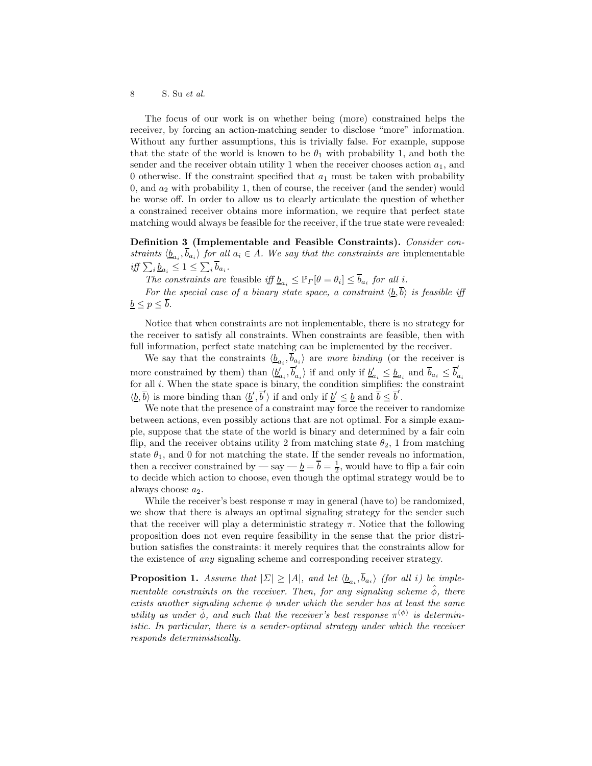The focus of our work is on whether being (more) constrained helps the receiver, by forcing an action-matching sender to disclose "more" information. Without any further assumptions, this is trivially false. For example, suppose that the state of the world is known to be  $\theta_1$  with probability 1, and both the sender and the receiver obtain utility 1 when the receiver chooses action  $a_1$ , and 0 otherwise. If the constraint specified that  $a_1$  must be taken with probability 0, and  $a_2$  with probability 1, then of course, the receiver (and the sender) would be worse off. In order to allow us to clearly articulate the question of whether a constrained receiver obtains more information, we require that perfect state matching would always be feasible for the receiver, if the true state were revealed:

Definition 3 (Implementable and Feasible Constraints). Consider constraints  $\langle \underline{b}_{a_i}, b_{a_i} \rangle$  for all  $a_i \in A$ . We say that the constraints are implementable iff  $\sum_i \underline{b}_{a_i} \leq 1 \leq \sum_i b_{a_i}$ .

The constraints are feasible iff  $\underline{b}_{a_i} \leq \mathbb{P}_{\Gamma}[\theta = \theta_i] \leq \overline{b}_{a_i}$  for all i.

For the special case of a binary state space, a constraint  $\langle \underline{b}, \overline{b} \rangle$  is feasible iff  $\underline{b} \leq p \leq \overline{b}$ .

Notice that when constraints are not implementable, there is no strategy for the receiver to satisfy all constraints. When constraints are feasible, then with full information, perfect state matching can be implemented by the receiver.

We say that the constraints  $\langle b_{a_i}, b_{a_i} \rangle$  are more binding (or the receiver is more constrained by them) than  $\langle \underline{b}'_{a_i}, \overline{b}'_c \rangle$  $\langle a_i \rangle$  if and only if  $\underline{b}'_{a_i} \le \underline{b}_{a_i}$  and  $\overline{b}_{a_i} \le \overline{b}'_a$ for all *i*. When the state space is binary, the condition simplifies: the constraint  $\overline{X}$ .  $\langle \underline{b}, \overline{b} \rangle$  is more binding than  $\langle \underline{b}', \overline{b}' \rangle$  if and only if  $\underline{b}' \leq \underline{b}$  and  $\overline{b} \leq \overline{b}'$ .

We note that the presence of a constraint may force the receiver to randomize between actions, even possibly actions that are not optimal. For a simple example, suppose that the state of the world is binary and determined by a fair coin flip, and the receiver obtains utility 2 from matching state  $\theta_2$ , 1 from matching state  $\theta_1$ , and 0 for not matching the state. If the sender reveals no information, then a receiver constrained by — say —  $\underline{b} = \overline{b} = \frac{1}{2}$ , would have to flip a fair coin to decide which action to choose, even though the optimal strategy would be to always choose  $a_2$ .

While the receiver's best response  $\pi$  may in general (have to) be randomized, we show that there is always an optimal signaling strategy for the sender such that the receiver will play a deterministic strategy  $\pi$ . Notice that the following proposition does not even require feasibility in the sense that the prior distribution satisfies the constraints: it merely requires that the constraints allow for the existence of any signaling scheme and corresponding receiver strategy.

<span id="page-7-0"></span>**Proposition 1.** Assume that  $|\Sigma| \ge |A|$ , and let  $\langle \underline{b}_{a_i}, b_{a_i} \rangle$  (for all i) be implementable constraints on the receiver. Then, for any signaling scheme  $\hat{\phi}$ , there exists another signaling scheme  $\phi$  under which the sender has at least the same utility as under  $\hat{\phi}$ , and such that the receiver's best response  $\pi^{(\phi)}$  is deterministic. In particular, there is a sender-optimal strategy under which the receiver responds deterministically.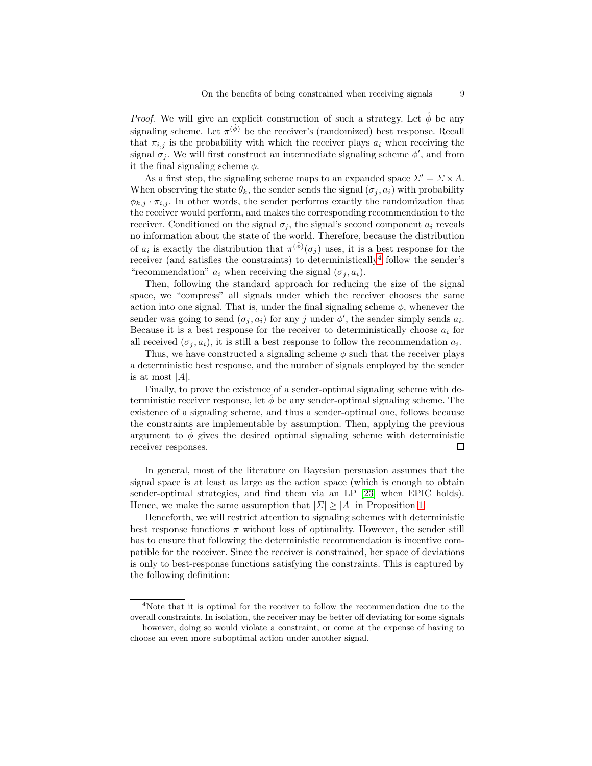*Proof.* We will give an explicit construction of such a strategy. Let  $\hat{\phi}$  be any signaling scheme. Let  $\pi^{(\hat{\phi})}$  be the receiver's (randomized) best response. Recall that  $\pi_{i,j}$  is the probability with which the receiver plays  $a_i$  when receiving the signal  $\sigma_j$ . We will first construct an intermediate signaling scheme  $\phi'$ , and from it the final signaling scheme  $\phi$ .

As a first step, the signaling scheme maps to an expanded space  $\Sigma' = \Sigma \times A$ . When observing the state  $\theta_k$ , the sender sends the signal  $(\sigma_j, a_i)$  with probability  $\phi_{k,j} \cdot \pi_{i,j}$ . In other words, the sender performs exactly the randomization that the receiver would perform, and makes the corresponding recommendation to the receiver. Conditioned on the signal  $\sigma_i$ , the signal's second component  $a_i$  reveals no information about the state of the world. Therefore, because the distribution of  $a_i$  is exactly the distribution that  $\pi^{(\hat{\phi})}(\sigma_j)$  uses, it is a best response for the receiver (and satisfies the constraints) to deterministically<sup>[4](#page-8-0)</sup> follow the sender's "recommendation"  $a_i$  when receiving the signal  $(\sigma_i, a_i)$ .

Then, following the standard approach for reducing the size of the signal space, we "compress" all signals under which the receiver chooses the same action into one signal. That is, under the final signaling scheme  $\phi$ , whenever the sender was going to send  $(\sigma_j, a_i)$  for any j under  $\phi'$ , the sender simply sends  $a_i$ . Because it is a best response for the receiver to deterministically choose  $a_i$  for all received  $(\sigma_j, a_i)$ , it is still a best response to follow the recommendation  $a_i$ .

Thus, we have constructed a signaling scheme  $\phi$  such that the receiver plays a deterministic best response, and the number of signals employed by the sender is at most |A|.

Finally, to prove the existence of a sender-optimal signaling scheme with deterministic receiver response, let  $\phi$  be any sender-optimal signaling scheme. The existence of a signaling scheme, and thus a sender-optimal one, follows because the constraints are implementable by assumption. Then, applying the previous argument to  $\hat{\phi}$  gives the desired optimal signaling scheme with deterministic receiver responses. □

In general, most of the literature on Bayesian persuasion assumes that the signal space is at least as large as the action space (which is enough to obtain sender-optimal strategies, and find them via an LP [\[23\]](#page-17-21) when EPIC holds). Hence, we make the same assumption that  $|\Sigma| \geq |A|$  in Proposition [1.](#page-7-0)

Henceforth, we will restrict attention to signaling schemes with deterministic best response functions  $\pi$  without loss of optimality. However, the sender still has to ensure that following the deterministic recommendation is incentive compatible for the receiver. Since the receiver is constrained, her space of deviations is only to best-response functions satisfying the constraints. This is captured by the following definition:

<span id="page-8-1"></span><span id="page-8-0"></span><sup>4</sup>Note that it is optimal for the receiver to follow the recommendation due to the overall constraints. In isolation, the receiver may be better off deviating for some signals — however, doing so would violate a constraint, or come at the expense of having to choose an even more suboptimal action under another signal.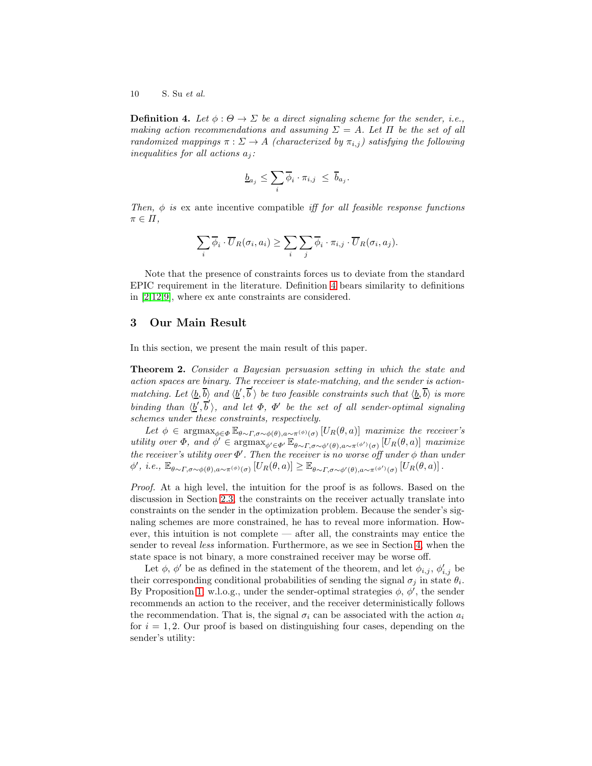**Definition 4.** Let  $\phi : \Theta \to \Sigma$  be a direct signaling scheme for the sender, i.e., making action recommendations and assuming  $\Sigma = A$ . Let  $\Pi$  be the set of all randomized mappings  $\pi : \Sigma \to A$  (characterized by  $\pi_{i,j}$ ) satisfying the following inequalities for all actions  $a_i$ :

$$
\underline{b}_{a_j} \leq \sum_i \overline{\phi}_i \cdot \pi_{i,j} \ \leq \ \overline{b}_{a_j}.
$$

Then,  $\phi$  is ex ante incentive compatible iff for all feasible response functions  $\pi \in \Pi$ ,

$$
\sum_{i} \overline{\phi}_{i} \cdot \overline{U}_{R}(\sigma_{i}, a_{i}) \geq \sum_{i} \sum_{j} \overline{\phi}_{i} \cdot \pi_{i,j} \cdot \overline{U}_{R}(\sigma_{i}, a_{j}).
$$

Note that the presence of constraints forces us to deviate from the standard EPIC requirement in the literature. Definition [4](#page-8-1) bears similarity to definitions in [\[2,](#page-16-5)[12,](#page-17-19)[9\]](#page-17-20), where ex ante constraints are considered.

# <span id="page-9-0"></span>3 Our Main Result

<span id="page-9-1"></span>In this section, we present the main result of this paper.

Theorem 2. Consider a Bayesian persuasion setting in which the state and action spaces are binary. The receiver is state-matching, and the sender is actionmatching. Let  $\langle \underline{b}, \overline{b} \rangle$  and  $\langle \underline{b}', \overline{b}' \rangle$  be two feasible constraints such that  $\langle \underline{b}, \overline{b} \rangle$  is more binding than  $\langle \underline{b}', \overline{b}' \rangle$ , and let  $\Phi$ ,  $\Phi'$  be the set of all sender-optimal signaling schemes under these constraints, respectively.

Let  $\phi \in \operatorname{argmax}_{\phi \in \Phi} \mathbb{E}_{\theta \sim \Gamma, \sigma \sim \phi(\theta), a \sim \pi^{(\phi)}(\sigma)} [U_R(\theta, a)]$  maximize the receiver's utility over  $\Phi$ , and  $\phi' \in \operatorname{argmax}_{\phi' \in \Phi'} \mathbb{E}_{\theta \sim \Gamma, \sigma \sim \phi'(\theta), a \sim \pi^{(\phi')}(\sigma)} [U_R(\theta, a)]$  maximize the receiver's utility over  $\Phi'$ . Then the receiver is no worse off under  $\phi$  than under  $\phi', i.e., \mathbb{E}_{\theta \sim \Gamma, \sigma \sim \phi(\theta), a \sim \pi^{(\phi)}(\sigma)} [U_R(\theta, a)] \geq \mathbb{E}_{\theta \sim \Gamma, \sigma \sim \phi'(\theta), a \sim \pi^{(\phi')}(\sigma)} [U_R(\theta, a)].$ 

Proof. At a high level, the intuition for the proof is as follows. Based on the discussion in Section [2.3,](#page-6-0) the constraints on the receiver actually translate into constraints on the sender in the optimization problem. Because the sender's signaling schemes are more constrained, he has to reveal more information. However, this intuition is not complete — after all, the constraints may entice the sender to reveal less information. Furthermore, as we see in Section [4,](#page-12-0) when the state space is not binary, a more constrained receiver may be worse off.

Let  $\phi$ ,  $\phi'$  be as defined in the statement of the theorem, and let  $\phi_{i,j}$ ,  $\phi'_{i,j}$  be their corresponding conditional probabilities of sending the signal  $\sigma_j$  in state  $\theta_i$ . By Proposition [1,](#page-7-0) w.l.o.g., under the sender-optimal strategies  $\phi$ ,  $\dot{\phi'}$ , the sender recommends an action to the receiver, and the receiver deterministically follows the recommendation. That is, the signal  $\sigma_i$  can be associated with the action  $a_i$ for  $i = 1, 2$ . Our proof is based on distinguishing four cases, depending on the sender's utility: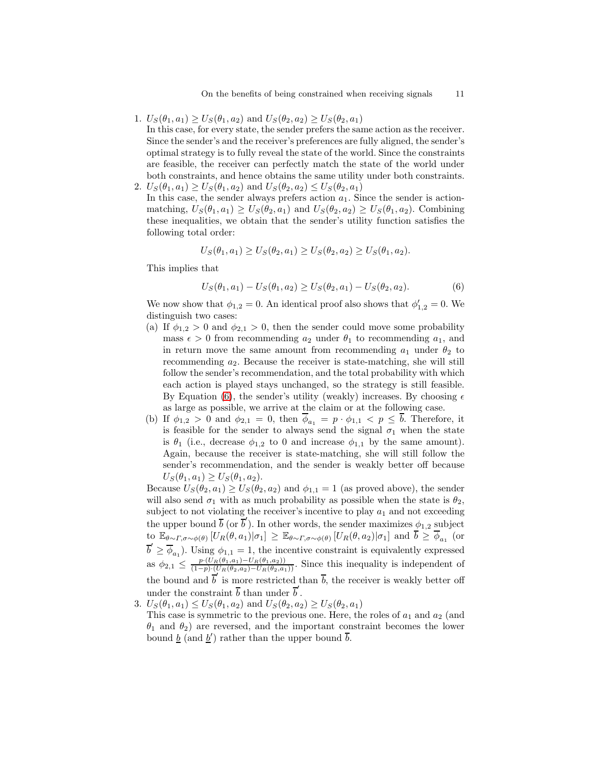- 1.  $U_S(\theta_1, a_1) \ge U_S(\theta_1, a_2)$  and  $U_S(\theta_2, a_2) \ge U_S(\theta_2, a_1)$
- In this case, for every state, the sender prefers the same action as the receiver. Since the sender's and the receiver's preferences are fully aligned, the sender's optimal strategy is to fully reveal the state of the world. Since the constraints are feasible, the receiver can perfectly match the state of the world under both constraints, and hence obtains the same utility under both constraints. 2.  $U_S(\theta_1, a_1) \ge U_S(\theta_1, a_2)$  and  $U_S(\theta_2, a_2) \le U_S(\theta_2, a_1)$
- In this case, the sender always prefers action  $a_1$ . Since the sender is actionmatching,  $U_S(\theta_1, a_1) \geq U_S(\theta_2, a_1)$  and  $U_S(\theta_2, a_2) \geq U_S(\theta_1, a_2)$ . Combining these inequalities, we obtain that the sender's utility function satisfies the following total order:

$$
U_S(\theta_1, a_1) \ge U_S(\theta_2, a_1) \ge U_S(\theta_2, a_2) \ge U_S(\theta_1, a_2).
$$

This implies that

<span id="page-10-0"></span>
$$
U_S(\theta_1, a_1) - U_S(\theta_1, a_2) \ge U_S(\theta_2, a_1) - U_S(\theta_2, a_2). \tag{6}
$$

We now show that  $\phi_{1,2} = 0$ . An identical proof also shows that  $\phi'_{1,2} = 0$ . We distinguish two cases:

- (a) If  $\phi_{1,2} > 0$  and  $\phi_{2,1} > 0$ , then the sender could move some probability mass  $\epsilon > 0$  from recommending  $a_2$  under  $\theta_1$  to recommending  $a_1$ , and in return move the same amount from recommending  $a_1$  under  $\theta_2$  to recommending  $a_2$ . Because the receiver is state-matching, she will still follow the sender's recommendation, and the total probability with which each action is played stays unchanged, so the strategy is still feasible. By Equation [\(6\)](#page-10-0), the sender's utility (weakly) increases. By choosing  $\epsilon$ as large as possible, we arrive at the claim or at the following case.
- (b) If  $\phi_{1,2} > 0$  and  $\phi_{2,1} = 0$ , then  $\phi_{a_1} = p \cdot \phi_{1,1} < p \leq \overline{b}$ . Therefore, it is feasible for the sender to always send the signal  $\sigma_1$  when the state is  $\theta_1$  (i.e., decrease  $\phi_{1,2}$  to 0 and increase  $\phi_{1,1}$  by the same amount). Again, because the receiver is state-matching, she will still follow the sender's recommendation, and the sender is weakly better off because  $U_S(\theta_1, a_1) \geq U_S(\theta_1, a_2).$

Because  $U_S(\theta_2, a_1) \ge U_S(\theta_2, a_2)$  and  $\phi_{1,1} = 1$  (as proved above), the sender will also send  $\sigma_1$  with as much probability as possible when the state is  $\theta_2$ , subject to not violating the receiver's incentive to play  $a_1$  and not exceeding the upper bound  $\overline{b}$  (or  $\overline{b}'$ ). In other words, the sender maximizes  $\phi_{1,2}$  subject to  $\mathbb{E}_{\theta \sim \Gamma, \sigma \sim \phi(\theta)} \left[ U_R(\theta, a_1) | \sigma_1 \right] \geq \mathbb{E}_{\theta \sim \Gamma, \sigma \sim \phi(\theta)} \left[ U_R(\theta, a_2) | \sigma_1 \right]$  and  $\overline{b} \geq \overline{\phi}_{a_1}$  (or  $\overline{b}' \ge \overline{\phi}_{a_1}$ ). Using  $\phi_{1,1} = 1$ , the incentive constraint is equivalently expressed as  $\phi_{2,1} \leq \frac{p \cdot (U_R(\theta_1, a_1) - U_R(\theta_1, a_2))}{(1-p) \cdot (U_R(\theta_2, a_2) - U_R(\theta_2, a_1))}$ . Since this inequality is independent of the bound and  $b'$  is more restricted than  $b$ , the receiver is weakly better off under the constraint  $\overline{b}$  than under  $\overline{b}'$ .

3.  $U_S(\theta_1, a_1) \leq U_S(\theta_1, a_2)$  and  $U_S(\theta_2, a_2) \geq U_S(\theta_2, a_1)$ 

This case is symmetric to the previous one. Here, the roles of  $a_1$  and  $a_2$  (and  $\theta_1$  and  $\theta_2$ ) are reversed, and the important constraint becomes the lower bound <u>b</u> (and <u>b'</u>) rather than the upper bound  $\overline{b}$ .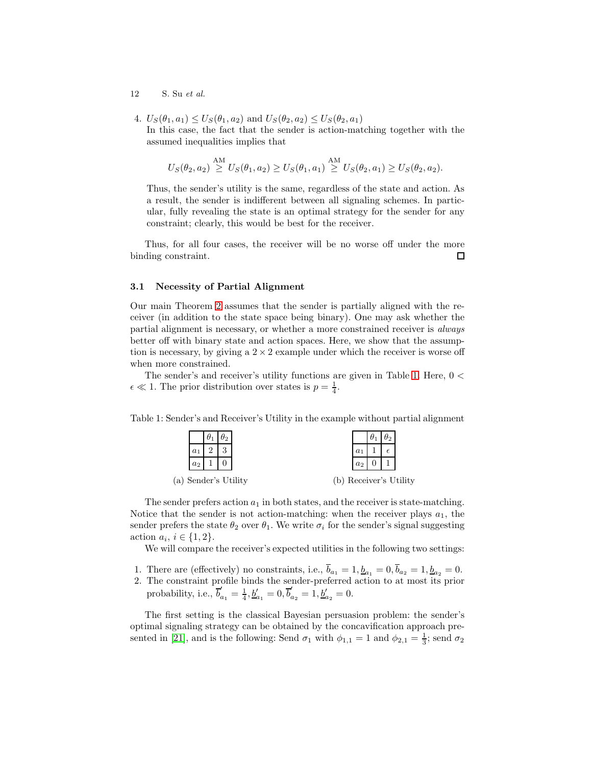- 12 S. Su et al.
- 4.  $U_S(\theta_1, a_1) \le U_S(\theta_1, a_2)$  and  $U_S(\theta_2, a_2) \le U_S(\theta_2, a_1)$

In this case, the fact that the sender is action-matching together with the assumed inequalities implies that

$$
U_S(\theta_2, a_2) \stackrel{\text{AM}}{\geq} U_S(\theta_1, a_2) \geq U_S(\theta_1, a_1) \stackrel{\text{AM}}{\geq} U_S(\theta_2, a_1) \geq U_S(\theta_2, a_2).
$$

Thus, the sender's utility is the same, regardless of the state and action. As a result, the sender is indifferent between all signaling schemes. In particular, fully revealing the state is an optimal strategy for the sender for any constraint; clearly, this would be best for the receiver.

Thus, for all four cases, the receiver will be no worse off under the more binding constraint. □

## 3.1 Necessity of Partial Alignment

Our main Theorem [2](#page-9-1) assumes that the sender is partially aligned with the receiver (in addition to the state space being binary). One may ask whether the partial alignment is necessary, or whether a more constrained receiver is always better off with binary state and action spaces. Here, we show that the assumption is necessary, by giving a  $2 \times 2$  example under which the receiver is worse off when more constrained.

The sender's and receiver's utility functions are given in Table [1.](#page-11-0) Here, 0 <  $\epsilon \ll 1$ . The prior distribution over states is  $p = \frac{1}{4}$ .

<span id="page-11-0"></span>Table 1: Sender's and Receiver's Utility in the example without partial alignment



The sender prefers action  $a_1$  in both states, and the receiver is state-matching. Notice that the sender is not action-matching: when the receiver plays  $a_1$ , the sender prefers the state  $\theta_2$  over  $\theta_1$ . We write  $\sigma_i$  for the sender's signal suggesting action  $a_i, i \in \{1, 2\}.$ 

We will compare the receiver's expected utilities in the following two settings:

- 1. There are (effectively) no constraints, i.e.,  $b_{a_1} = 1, \underline{b}_{a_1} = 0, b_{a_2} = 1, \underline{b}_{a_2} = 0.$
- 2. The constraint profile binds the sender-preferred action to at most its prior probability, i.e.,  $\overline{b}'_{a_1} = \frac{1}{4}, \underline{b}'_{a_1} = 0, \overline{b}'_{a_2} = 1, \underline{b}'_{a_2} = 0.$

The first setting is the classical Bayesian persuasion problem: the sender's optimal signaling strategy can be obtained by the concavification approach pre-sented in [\[21\]](#page-17-0), and is the following: Send  $\sigma_1$  with  $\phi_{1,1} = 1$  and  $\phi_{2,1} = \frac{1}{3}$ ; send  $\sigma_2$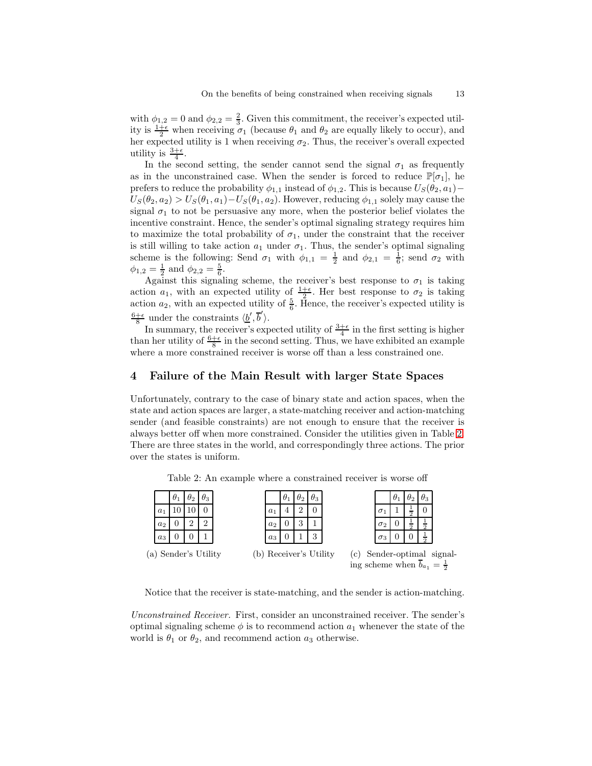with  $\phi_{1,2} = 0$  and  $\phi_{2,2} = \frac{2}{3}$ . Given this commitment, the receiver's expected utility is  $\frac{1+\epsilon}{2}$  when receiving  $\sigma_1$  (because  $\theta_1$  and  $\theta_2$  are equally likely to occur), and her expected utility is 1 when receiving  $\sigma_2$ . Thus, the receiver's overall expected utility is  $\frac{3+\epsilon}{4}$ .

In the second setting, the sender cannot send the signal  $\sigma_1$  as frequently as in the unconstrained case. When the sender is forced to reduce  $\mathbb{P}[\sigma_1]$ , he prefers to reduce the probability  $\phi_{1,1}$  instead of  $\phi_{1,2}$ . This is because  $U_S(\theta_2, a_1)$  –  $U_S(\theta_2, a_2) > U_S(\theta_1, a_1) - U_S(\theta_1, a_2)$ . However, reducing  $\phi_{1,1}$  solely may cause the signal  $\sigma_1$  to not be persuasive any more, when the posterior belief violates the incentive constraint. Hence, the sender's optimal signaling strategy requires him to maximize the total probability of  $\sigma_1$ , under the constraint that the receiver is still willing to take action  $a_1$  under  $\sigma_1$ . Thus, the sender's optimal signaling scheme is the following: Send  $\sigma_1$  with  $\phi_{1,1} = \frac{1}{2}$  and  $\phi_{2,1} = \frac{1}{6}$ ; send  $\sigma_2$  with  $\phi_{1,2} = \frac{1}{2}$  and  $\phi_{2,2} = \frac{5}{6}$ .

Against this signaling scheme, the receiver's best response to  $\sigma_1$  is taking action  $a_1$ , with an expected utility of  $\frac{1+\epsilon}{2}$ . Her best response to  $\sigma_2$  is taking action  $a_2$ , with an expected utility of  $\frac{5}{6}$ . Hence, the receiver's expected utility is  $\frac{6+\epsilon}{8}$  under the constraints  $\langle \underline{b}', \overline{b}' \rangle$ .

In summary, the receiver's expected utility of  $\frac{3+\epsilon}{4}$  in the first setting is higher than her utility of  $\frac{6+\epsilon}{8}$  in the second setting. Thus, we have exhibited an example where a more constrained receiver is worse off than a less constrained one.

# <span id="page-12-0"></span>4 Failure of the Main Result with larger State Spaces

Unfortunately, contrary to the case of binary state and action spaces, when the state and action spaces are larger, a state-matching receiver and action-matching sender (and feasible constraints) are not enough to ensure that the receiver is always better off when more constrained. Consider the utilities given in Table [2.](#page-12-1) There are three states in the world, and correspondingly three actions. The prior over the states is uniform.

Table 2: An example where a constrained receiver is worse off

<span id="page-12-1"></span>

|                      | $\theta_1$ | U2 | $\theta_3$ |  |  |                        | $\theta_1$ |  | $\theta_3$ |  |  |                                                                                  |            |  |  |  |  |  |
|----------------------|------------|----|------------|--|--|------------------------|------------|--|------------|--|--|----------------------------------------------------------------------------------|------------|--|--|--|--|--|
| a <sub>1</sub>       |            |    |            |  |  | $a_1$                  |            |  |            |  |  |                                                                                  | $\sigma_1$ |  |  |  |  |  |
| $a_2$                |            |    | ച          |  |  | $a_2$                  |            |  |            |  |  |                                                                                  | $\sigma_2$ |  |  |  |  |  |
| $a_3$                |            |    |            |  |  | $a_3$                  |            |  |            |  |  |                                                                                  | $\sigma_3$ |  |  |  |  |  |
| (a) Sender's Utility |            |    |            |  |  | (b) Receiver's Utility |            |  |            |  |  | (c) Sender-optimal signal-<br>ing scheme when $\overline{b}_{a_1} = \frac{1}{2}$ |            |  |  |  |  |  |

Notice that the receiver is state-matching, and the sender is action-matching.

Unconstrained Receiver. First, consider an unconstrained receiver. The sender's optimal signaling scheme  $\phi$  is to recommend action  $a_1$  whenever the state of the world is  $\theta_1$  or  $\theta_2$ , and recommend action  $a_3$  otherwise.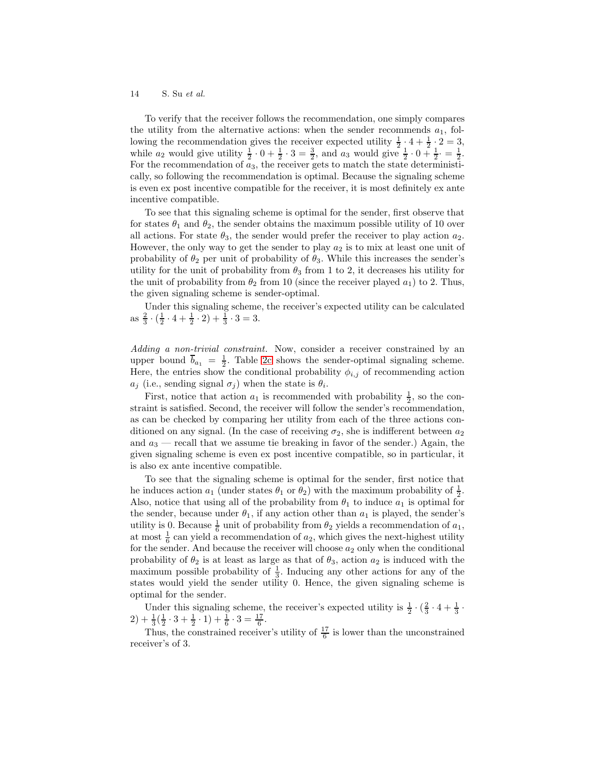To verify that the receiver follows the recommendation, one simply compares the utility from the alternative actions: when the sender recommends  $a_1$ , following the recommendation gives the receiver expected utility  $\frac{1}{2} \cdot 4 + \frac{1}{2} \cdot 2 = 3$ , while  $a_2$  would give utility  $\frac{1}{2} \cdot 0 + \frac{1}{2} \cdot 3 = \frac{3}{2}$ , and  $a_3$  would give  $\frac{1}{2} \cdot 0 + \frac{1}{2} \cdot \frac{1}{2} = \frac{1}{2}$ . For the recommendation of  $a_3$ , the receiver gets to match the state deterministically, so following the recommendation is optimal. Because the signaling scheme is even ex post incentive compatible for the receiver, it is most definitely ex ante incentive compatible.

To see that this signaling scheme is optimal for the sender, first observe that for states  $\theta_1$  and  $\theta_2$ , the sender obtains the maximum possible utility of 10 over all actions. For state  $\theta_3$ , the sender would prefer the receiver to play action  $a_2$ . However, the only way to get the sender to play  $a_2$  is to mix at least one unit of probability of  $\theta_2$  per unit of probability of  $\theta_3$ . While this increases the sender's utility for the unit of probability from  $\theta_3$  from 1 to 2, it decreases his utility for the unit of probability from  $\theta_2$  from 10 (since the receiver played  $a_1$ ) to 2. Thus, the given signaling scheme is sender-optimal.

Under this signaling scheme, the receiver's expected utility can be calculated as  $\frac{2}{3} \cdot (\frac{1}{2} \cdot 4 + \frac{1}{2} \cdot 2) + \frac{1}{3} \cdot 3 = 3.$ 

Adding a non-trivial constraint. Now, consider a receiver constrained by an upper bound  $\overline{b}_{a_1} = \frac{1}{2}$ . Table [2c](#page-12-1) shows the sender-optimal signaling scheme. Here, the entries show the conditional probability  $\phi_{i,j}$  of recommending action  $a_j$  (i.e., sending signal  $\sigma_j$ ) when the state is  $\theta_i$ .

First, notice that action  $a_1$  is recommended with probability  $\frac{1}{2}$ , so the constraint is satisfied. Second, the receiver will follow the sender's recommendation, as can be checked by comparing her utility from each of the three actions conditioned on any signal. (In the case of receiving  $\sigma_2$ , she is indifferent between  $a_2$ and  $a_3$  — recall that we assume tie breaking in favor of the sender.) Again, the given signaling scheme is even ex post incentive compatible, so in particular, it is also ex ante incentive compatible.

To see that the signaling scheme is optimal for the sender, first notice that he induces action  $a_1$  (under states  $\theta_1$  or  $\theta_2$ ) with the maximum probability of  $\frac{1}{2}$ . Also, notice that using all of the probability from  $\theta_1$  to induce  $a_1$  is optimal for the sender, because under  $\theta_1$ , if any action other than  $a_1$  is played, the sender's utility is 0. Because  $\frac{1}{6}$  unit of probability from  $\theta_2$  yields a recommendation of  $a_1$ , at most  $\frac{1}{6}$  can yield a recommendation of  $a_2$ , which gives the next-highest utility for the sender. And because the receiver will choose  $a_2$  only when the conditional probability of  $\theta_2$  is at least as large as that of  $\theta_3$ , action  $a_2$  is induced with the maximum possible probability of  $\frac{1}{3}$ . Inducing any other actions for any of the states would yield the sender utility 0. Hence, the given signaling scheme is optimal for the sender.

Under this signaling scheme, the receiver's expected utility is  $\frac{1}{2} \cdot (\frac{2}{3} \cdot 4 + \frac{1}{3} \cdot \frac{1}{3})$  $2)+\frac{1}{3}(\frac{1}{2}\cdot3+\frac{1}{2}\cdot1)+\frac{1}{6}\cdot3=\frac{17}{6}.$ 

Thus, the constrained receiver's utility of  $\frac{17}{6}$  is lower than the unconstrained receiver's of 3.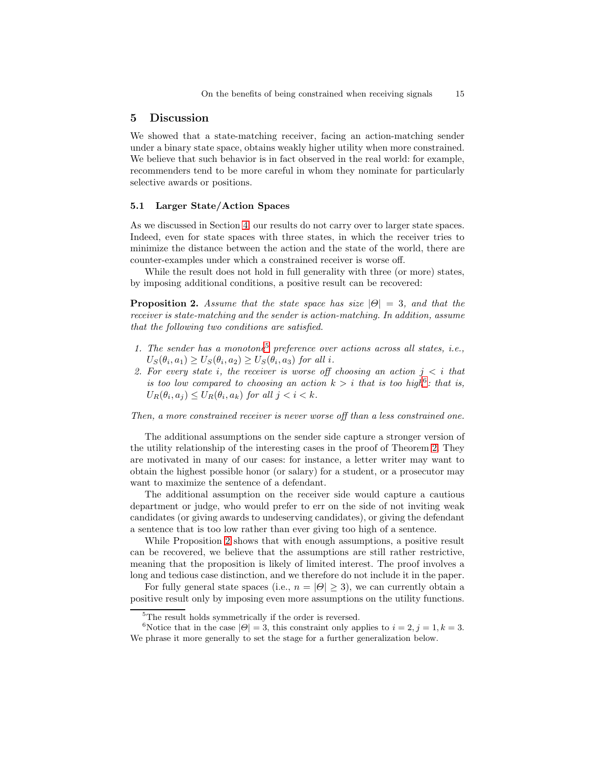# <span id="page-14-0"></span>5 Discussion

We showed that a state-matching receiver, facing an action-matching sender under a binary state space, obtains weakly higher utility when more constrained. We believe that such behavior is in fact observed in the real world: for example, recommenders tend to be more careful in whom they nominate for particularly selective awards or positions.

# 5.1 Larger State/Action Spaces

As we discussed in Section [4,](#page-12-0) our results do not carry over to larger state spaces. Indeed, even for state spaces with three states, in which the receiver tries to minimize the distance between the action and the state of the world, there are counter-examples under which a constrained receiver is worse off.

<span id="page-14-3"></span>While the result does not hold in full generality with three (or more) states, by imposing additional conditions, a positive result can be recovered:

**Proposition 2.** Assume that the state space has size  $|\Theta| = 3$ , and that the receiver is state-matching and the sender is action-matching. In addition, assume that the following two conditions are satisfied.

- 1. The sender has a monotone<sup>[5](#page-14-1)</sup> preference over actions across all states, *i.e.*,  $U_S(\theta_i, a_1) \ge U_S(\theta_i, a_2) \ge U_S(\theta_i, a_3)$  for all i.
- 2. For every state i, the receiver is worse off choosing an action  $j < i$  that is too low compared to choosing an action  $k > i$  that is too high<sup>[6](#page-14-2)</sup>: that is,  $U_R(\theta_i, a_j) \leq U_R(\theta_i, a_k)$  for all  $j < i < k$ .

Then, a more constrained receiver is never worse off than a less constrained one.

The additional assumptions on the sender side capture a stronger version of the utility relationship of the interesting cases in the proof of Theorem [2.](#page-9-1) They are motivated in many of our cases: for instance, a letter writer may want to obtain the highest possible honor (or salary) for a student, or a prosecutor may want to maximize the sentence of a defendant.

The additional assumption on the receiver side would capture a cautious department or judge, who would prefer to err on the side of not inviting weak candidates (or giving awards to undeserving candidates), or giving the defendant a sentence that is too low rather than ever giving too high of a sentence.

While Proposition [2](#page-14-3) shows that with enough assumptions, a positive result can be recovered, we believe that the assumptions are still rather restrictive, meaning that the proposition is likely of limited interest. The proof involves a long and tedious case distinction, and we therefore do not include it in the paper.

For fully general state spaces (i.e.,  $n = |\Theta| \geq 3$ ), we can currently obtain a positive result only by imposing even more assumptions on the utility functions.

<span id="page-14-1"></span><sup>5</sup>The result holds symmetrically if the order is reversed.

<span id="page-14-2"></span><sup>&</sup>lt;sup>6</sup>Notice that in the case  $|\Theta| = 3$ , this constraint only applies to  $i = 2, j = 1, k = 3$ . We phrase it more generally to set the stage for a further generalization below.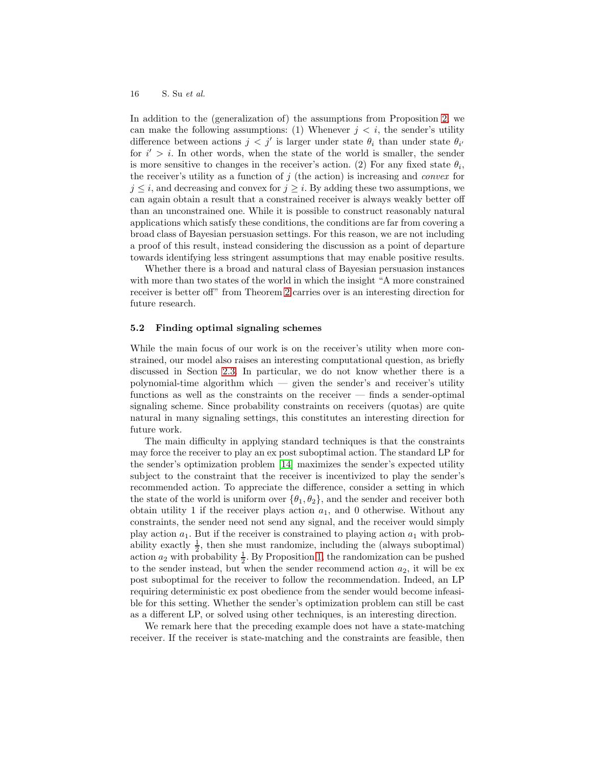In addition to the (generalization of) the assumptions from Proposition [2,](#page-14-3) we can make the following assumptions: (1) Whenever  $j < i$ , the sender's utility difference between actions  $j < j'$  is larger under state  $\theta_i$  than under state  $\theta_{i'}$ for  $i' > i$ . In other words, when the state of the world is smaller, the sender is more sensitive to changes in the receiver's action. (2) For any fixed state  $\theta_i$ , the receiver's utility as a function of  $j$  (the action) is increasing and *convex* for  $j \leq i$ , and decreasing and convex for  $j \geq i$ . By adding these two assumptions, we can again obtain a result that a constrained receiver is always weakly better off than an unconstrained one. While it is possible to construct reasonably natural applications which satisfy these conditions, the conditions are far from covering a broad class of Bayesian persuasion settings. For this reason, we are not including a proof of this result, instead considering the discussion as a point of departure towards identifying less stringent assumptions that may enable positive results.

Whether there is a broad and natural class of Bayesian persuasion instances with more than two states of the world in which the insight "A more constrained receiver is better off" from Theorem [2](#page-9-1) carries over is an interesting direction for future research.

## 5.2 Finding optimal signaling schemes

While the main focus of our work is on the receiver's utility when more constrained, our model also raises an interesting computational question, as briefly discussed in Section [2.3.](#page-6-0) In particular, we do not know whether there is a polynomial-time algorithm which — given the sender's and receiver's utility functions as well as the constraints on the receiver — finds a sender-optimal signaling scheme. Since probability constraints on receivers (quotas) are quite natural in many signaling settings, this constitutes an interesting direction for future work.

The main difficulty in applying standard techniques is that the constraints may force the receiver to play an ex post suboptimal action. The standard LP for the sender's optimization problem [\[14\]](#page-17-22) maximizes the sender's expected utility subject to the constraint that the receiver is incentivized to play the sender's recommended action. To appreciate the difference, consider a setting in which the state of the world is uniform over  $\{\theta_1, \theta_2\}$ , and the sender and receiver both obtain utility 1 if the receiver plays action  $a_1$ , and 0 otherwise. Without any constraints, the sender need not send any signal, and the receiver would simply play action  $a_1$ . But if the receiver is constrained to playing action  $a_1$  with probability exactly  $\frac{1}{2}$ , then she must randomize, including the (always suboptimal) action  $a_2$  with probability  $\frac{1}{2}$ . By Proposition [1,](#page-7-0) the randomization can be pushed to the sender instead, but when the sender recommend action  $a_2$ , it will be ex post suboptimal for the receiver to follow the recommendation. Indeed, an LP requiring deterministic ex post obedience from the sender would become infeasible for this setting. Whether the sender's optimization problem can still be cast as a different LP, or solved using other techniques, is an interesting direction.

We remark here that the preceding example does not have a state-matching receiver. If the receiver is state-matching and the constraints are feasible, then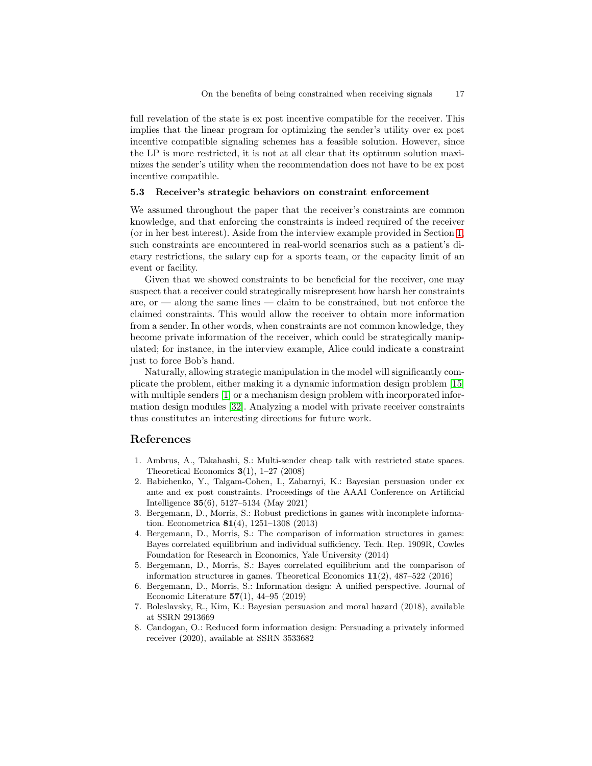full revelation of the state is ex post incentive compatible for the receiver. This implies that the linear program for optimizing the sender's utility over ex post incentive compatible signaling schemes has a feasible solution. However, since the LP is more restricted, it is not at all clear that its optimum solution maximizes the sender's utility when the recommendation does not have to be ex post incentive compatible.

# 5.3 Receiver's strategic behaviors on constraint enforcement

We assumed throughout the paper that the receiver's constraints are common knowledge, and that enforcing the constraints is indeed required of the receiver (or in her best interest). Aside from the interview example provided in Section [1,](#page-0-0) such constraints are encountered in real-world scenarios such as a patient's dietary restrictions, the salary cap for a sports team, or the capacity limit of an event or facility.

Given that we showed constraints to be beneficial for the receiver, one may suspect that a receiver could strategically misrepresent how harsh her constraints are, or  $-$  along the same lines  $-$  claim to be constrained, but not enforce the claimed constraints. This would allow the receiver to obtain more information from a sender. In other words, when constraints are not common knowledge, they become private information of the receiver, which could be strategically manipulated; for instance, in the interview example, Alice could indicate a constraint just to force Bob's hand.

Naturally, allowing strategic manipulation in the model will significantly complicate the problem, either making it a dynamic information design problem [\[15\]](#page-17-23) with multiple senders [\[1\]](#page-16-7) or a mechanism design problem with incorporated information design modules [\[32\]](#page-17-24). Analyzing a model with private receiver constraints thus constitutes an interesting directions for future work.

## <span id="page-16-7"></span>References

- 1. Ambrus, A., Takahashi, S.: Multi-sender cheap talk with restricted state spaces. Theoretical Economics  $3(1)$ , 1–27 (2008)
- <span id="page-16-5"></span>2. Babichenko, Y., Talgam-Cohen, I., Zabarnyi, K.: Bayesian persuasion under ex ante and ex post constraints. Proceedings of the AAAI Conference on Artificial Intelligence 35(6), 5127–5134 (May 2021)
- <span id="page-16-0"></span>3. Bergemann, D., Morris, S.: Robust predictions in games with incomplete information. Econometrica 81(4), 1251–1308 (2013)
- <span id="page-16-6"></span>4. Bergemann, D., Morris, S.: The comparison of information structures in games: Bayes correlated equilibrium and individual sufficiency. Tech. Rep. 1909R, Cowles Foundation for Research in Economics, Yale University (2014)
- <span id="page-16-1"></span>5. Bergemann, D., Morris, S.: Bayes correlated equilibrium and the comparison of information structures in games. Theoretical Economics 11(2), 487–522 (2016)
- <span id="page-16-2"></span>6. Bergemann, D., Morris, S.: Information design: A unified perspective. Journal of Economic Literature 57(1), 44–95 (2019)
- <span id="page-16-3"></span>7. Boleslavsky, R., Kim, K.: Bayesian persuasion and moral hazard (2018), available at SSRN 2913669
- <span id="page-16-4"></span>8. Candogan, O.: Reduced form information design: Persuading a privately informed receiver (2020), available at SSRN 3533682